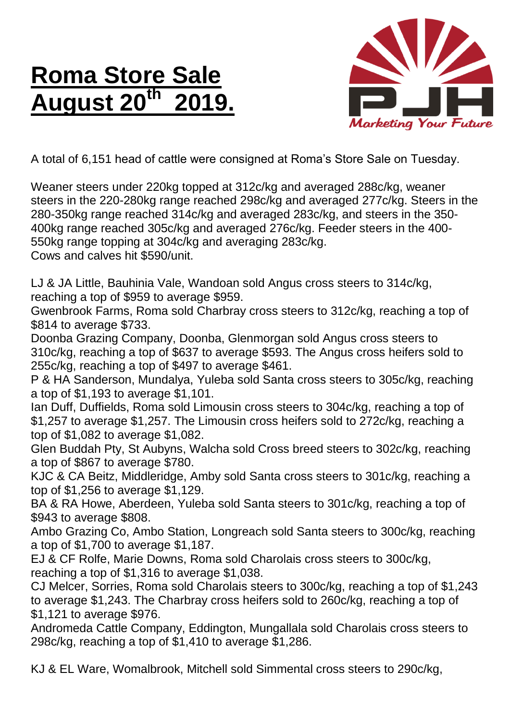## **Roma Store Sale August 20th 2019.**



A total of 6,151 head of cattle were consigned at Roma's Store Sale on Tuesday.

Weaner steers under 220kg topped at 312c/kg and averaged 288c/kg, weaner steers in the 220-280kg range reached 298c/kg and averaged 277c/kg. Steers in the 280-350kg range reached 314c/kg and averaged 283c/kg, and steers in the 350- 400kg range reached 305c/kg and averaged 276c/kg. Feeder steers in the 400- 550kg range topping at 304c/kg and averaging 283c/kg.

Cows and calves hit \$590/unit.

LJ & JA Little, Bauhinia Vale, Wandoan sold Angus cross steers to 314c/kg, reaching a top of \$959 to average \$959.

Gwenbrook Farms, Roma sold Charbray cross steers to 312c/kg, reaching a top of \$814 to average \$733.

Doonba Grazing Company, Doonba, Glenmorgan sold Angus cross steers to 310c/kg, reaching a top of \$637 to average \$593. The Angus cross heifers sold to 255c/kg, reaching a top of \$497 to average \$461.

P & HA Sanderson, Mundalya, Yuleba sold Santa cross steers to 305c/kg, reaching a top of \$1,193 to average \$1,101.

Ian Duff, Duffields, Roma sold Limousin cross steers to 304c/kg, reaching a top of \$1,257 to average \$1,257. The Limousin cross heifers sold to 272c/kg, reaching a top of \$1,082 to average \$1,082.

Glen Buddah Pty, St Aubyns, Walcha sold Cross breed steers to 302c/kg, reaching a top of \$867 to average \$780.

KJC & CA Beitz, Middleridge, Amby sold Santa cross steers to 301c/kg, reaching a top of \$1,256 to average \$1,129.

BA & RA Howe, Aberdeen, Yuleba sold Santa steers to 301c/kg, reaching a top of \$943 to average \$808.

Ambo Grazing Co, Ambo Station, Longreach sold Santa steers to 300c/kg, reaching a top of \$1,700 to average \$1,187.

EJ & CF Rolfe, Marie Downs, Roma sold Charolais cross steers to 300c/kg, reaching a top of \$1,316 to average \$1,038.

CJ Melcer, Sorries, Roma sold Charolais steers to 300c/kg, reaching a top of \$1,243 to average \$1,243. The Charbray cross heifers sold to 260c/kg, reaching a top of \$1,121 to average \$976.

Andromeda Cattle Company, Eddington, Mungallala sold Charolais cross steers to 298c/kg, reaching a top of \$1,410 to average \$1,286.

KJ & EL Ware, Womalbrook, Mitchell sold Simmental cross steers to 290c/kg,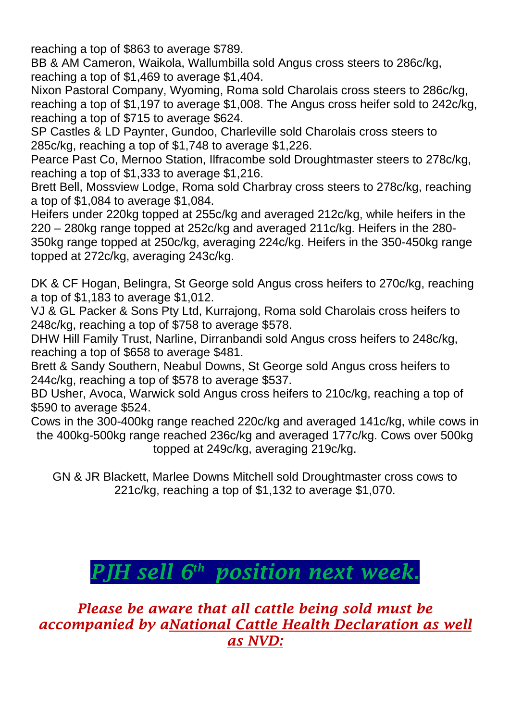reaching a top of \$863 to average \$789.

BB & AM Cameron, Waikola, Wallumbilla sold Angus cross steers to 286c/kg, reaching a top of \$1,469 to average \$1,404.

Nixon Pastoral Company, Wyoming, Roma sold Charolais cross steers to 286c/kg, reaching a top of \$1,197 to average \$1,008. The Angus cross heifer sold to 242c/kg, reaching a top of \$715 to average \$624.

SP Castles & LD Paynter, Gundoo, Charleville sold Charolais cross steers to 285c/kg, reaching a top of \$1,748 to average \$1,226.

Pearce Past Co, Mernoo Station, Ilfracombe sold Droughtmaster steers to 278c/kg, reaching a top of \$1,333 to average \$1,216.

Brett Bell, Mossview Lodge, Roma sold Charbray cross steers to 278c/kg, reaching a top of \$1,084 to average \$1,084.

Heifers under 220kg topped at 255c/kg and averaged 212c/kg, while heifers in the 220 – 280kg range topped at 252c/kg and averaged 211c/kg. Heifers in the 280- 350kg range topped at 250c/kg, averaging 224c/kg. Heifers in the 350-450kg range topped at 272c/kg, averaging 243c/kg.

DK & CF Hogan, Belingra, St George sold Angus cross heifers to 270c/kg, reaching a top of \$1,183 to average \$1,012.

VJ & GL Packer & Sons Pty Ltd, Kurrajong, Roma sold Charolais cross heifers to 248c/kg, reaching a top of \$758 to average \$578.

DHW Hill Family Trust, Narline, Dirranbandi sold Angus cross heifers to 248c/kg, reaching a top of \$658 to average \$481.

Brett & Sandy Southern, Neabul Downs, St George sold Angus cross heifers to 244c/kg, reaching a top of \$578 to average \$537.

BD Usher, Avoca, Warwick sold Angus cross heifers to 210c/kg, reaching a top of \$590 to average \$524.

Cows in the 300-400kg range reached 220c/kg and averaged 141c/kg, while cows in the 400kg-500kg range reached 236c/kg and averaged 177c/kg. Cows over 500kg topped at 249c/kg, averaging 219c/kg.

GN & JR Blackett, Marlee Downs Mitchell sold Droughtmaster cross cows to 221c/kg, reaching a top of \$1,132 to average \$1,070.

## *PJH sell 6 th position next week.*

*Please be aware that all cattle being sold must be accompanied by aNational Cattle Health Declaration as well as NVD:*